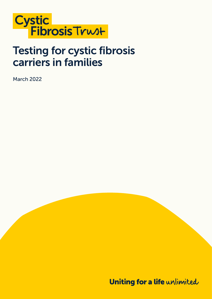

## Testing for cystic fibrosis carriers in families

March 2022

Uniting for a life unlimited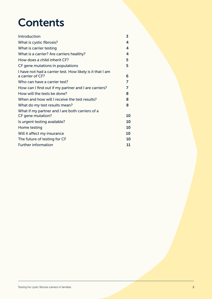# **Contents**

| Introduction                                                                  | 3  |
|-------------------------------------------------------------------------------|----|
| What is cystic fibrosis?                                                      | 4  |
| What is carrier testing                                                       | 4  |
| What is a carrier? Are carriers healthy?                                      | 4  |
| How does a child inherit CF?                                                  | 5  |
| CF gene mutations in populations                                              | 5  |
| I have not had a carrier test. How likely is it that I am<br>a carrier of CF? | 6  |
| Who can have a carrier test?                                                  | 7  |
| How can I find out if my partner and I are carriers?                          | 7  |
| How will the tests be done?                                                   | 8  |
| When and how will I receive the test results?                                 | 8  |
| What do my test results mean?                                                 | 8  |
| What if my partner and I are both carriers of a<br>CF gene mutation?          | 10 |
| Is urgent testing available?                                                  | 10 |
| Home testing                                                                  | 10 |
|                                                                               |    |
| Will it affect my insurance                                                   | 10 |
| The future of testing for CF                                                  | 10 |
| <b>Further information</b>                                                    | 11 |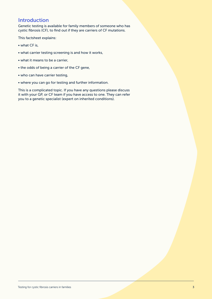#### <span id="page-2-0"></span>**Introduction**

Genetic testing is available for family members of someone who has cystic fibrosis (CF), to find out if they are carriers of CF mutations.

This factsheet explains:

- what CF is,
- what carrier testing screening is and how it works,
- what it means to be a carrier,
- the odds of being a carrier of the CF gene,
- who can have carrier testing,
- where you can go for testing and further information.

This is a complicated topic. If you have any questions please discuss it with your GP, or CF team if you have access to one. They can refer you to a genetic specialist (expert on inherited conditions).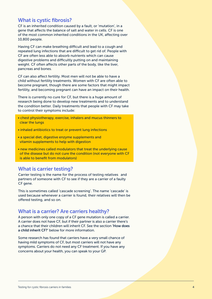#### What is cystic fibrosis?

CF is an inherited condition caused by a fault, or 'mutation', in a gene that affects the balance of salt and water in cells. CF is one of the most common inherited conditions in the UK, affecting over 10,800 people.

Having CF can make breathing difficult and lead to a cough and repeated lung infections that are difficult to get rid of. People with CF are often less able to absorb nutrients which can cause digestive problems and difficultly putting on and maintaining weight. CF often affects other parts of the body, like the liver, pancreas and bones.

CF can also affect fertility. Most men will not be able to have a child without fertility treatments. Women with CF are often able to become pregnant, though there are some factors that might impact fertility, and becoming pregnant can have an impact on their health.

There is currently no cure for CF, but there is a huge amount of research being done to develop new treatments and to understand the condition better. Daily treatments that people with CF may take to control their symptoms include:

- chest physiotherapy, exercise, inhalers and mucus thinners to clear the lungs
- inhaled antibiotics to treat or prevent lung infections
- a special diet, digestive enzyme supplements and vitamin supplements to help with digestion
- new medicines called modulators that treat the underlying cause of the disease but do not cure the condition (not everyone with CF is able to benefit from modulators)

#### What is carrier testing?

Carrier testing is the name for the process of testing relatives and partners of someone with CF to see if they are a carrier of a faulty CF gene.

This is sometimes called 'cascade screening'. The name 'cascade' is used because whenever a carrier is found, their relatives will then be offered testing, and so on.

#### What is a carrier? Are carriers healthy?

A person with only one copy of a CF gene mutation is called a carrier. A carrier does not have CF, but if their partner is also a carrier there's a chance that their children will inherit CF. See the section 'How does a child inherit CF?' below for more information.

Some research has found that carriers have a very small chance of having mild symptoms of CF, but most carriers will not have any symptoms. Carriers do not need any CF treatment. If you have any concerns about your health, you can speak to your GP.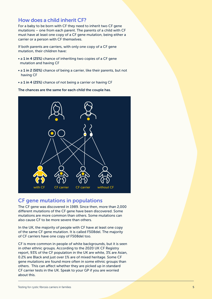#### <span id="page-4-0"></span>How does a child inherit CF?

For a baby to be born with CF they need to inherit two CF gene mutations – one from each parent. The parents of a child with CF must have at least one copy of a CF gene mutation, being either a carrier or a person with CF themselves.

If both parents are carriers, with only one copy of a CF gene mutation, their children have:

- a 1 in 4 (25%) chance of inheriting two copies of a CF gene mutation and having CF
- a 1 in 2 (50%) chance of being a carrier, like their parents, but not having CF
- a 1 in 4 (25%) chance of not being a carrier or having CF

The chances are the same for each child the couple has.



#### CF gene mutations in populations

The CF gene was discovered in 1989. Since then, more than 2,000 different mutations of the CF gene have been discovered. Some mutations are more common than others. Some mutations can also cause CF to be more severe than others.

In the UK, the majority of people with CF have at least one copy of the same CF gene mutation. It is called F508del. The majority of CF carriers have one copy of F508del too.

CF is more common in people of white backgrounds, but it is seen in other ethnic groups. According to the 2020 UK CF Registry report, 93% of the CF population in the UK are white, 3% are Asian, 0.2% are Black and just over 1% are of mixed heritage. Some CF gene mutations are found more often in some ethnic groups than others. This can affect whether they are picked up in standard CF carrier tests in the UK. Speak to your GP if you are worried about this.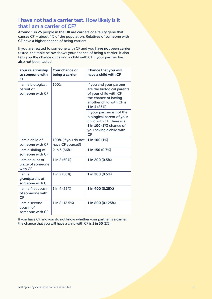## <span id="page-5-0"></span>I have not had a carrier test. How likely is it that I am a carrier of CF?

Around 1 in 25 people in the UK are carriers of a faulty gene that causes CF – about 4% of the population. Relatives of someone with CF have a higher chance of being carriers.

If you are related to someone with CF and you have not been carrier tested, the table below shows your chance of being a carrier. It also tells you the chance of having a child with CF if your partner has also not been tested.

| Your relationship<br>to someone with<br><b>CF</b> | Your chance of<br>being a carrier        | Chance that you will<br>have a child with CF                                                                                                            |
|---------------------------------------------------|------------------------------------------|---------------------------------------------------------------------------------------------------------------------------------------------------------|
| I am a biological<br>parent of<br>someone with CF | 100%                                     | If you and your partner<br>are the biological parents<br>of your child with CF,<br>the chance of having<br>another child with CF is<br>1 in 4 (25%)     |
|                                                   |                                          | If your partner is not the<br>biological parent of your<br>child with CF, there is a<br>1 in 100 (1%) chance of<br>you having a child with<br><b>CF</b> |
| I am a child of<br>someone with CF                | 100% (if you do not<br>have CF yourself) | 1 in 100 (1%)                                                                                                                                           |
| I am a sibling of<br>someone with CF              | 2 in 3 (66%)                             | 1 in 150 (0.7%)                                                                                                                                         |
| I am an aunt or<br>uncle of someone<br>with CF    | 1 in 2 (50%)                             | 1 in 200 (0.5%)                                                                                                                                         |
| I am a<br>grandparent of<br>someone with CF       | 1 in 2 (50%)                             | 1 in 200 (0.5%)                                                                                                                                         |
| I am a first cousin<br>of someone with<br>CF      | 1 in 4 (25%)                             | 1 in 400 (0.25%)                                                                                                                                        |
| I am a second<br>cousin of<br>someone with CF     | 1 in 8 (12.5%)                           | 1 in 800 (0.125%)                                                                                                                                       |

If you have CF and you do not know whether your partner is a carrier, the chance that you will have a child with CF is 1 in 50 (2%).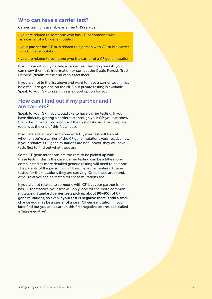#### <span id="page-6-0"></span>Who can have a carrier test?

Carrier testing is available as a free NHS service if:

- you are related to someone who has CF, or someone who is a carrier of a CF gene mutation
- your partner has CF or is related to a person with CF, or is a carrier of a CF gene mutation
- you are related to someone who is a carrier of a CF gene mutation

If you have difficulty getting a carrier test through your GP, you can show them this information or contact the Cystic Fibrosis Trust Helpline (details at the end of this factsheet).

If you are not in the list above and want to have a carrier test, it may be difficult to get one on the NHS but private testing is available. Speak to your GP to see if this is a good option for you.

#### How can I find out if my partner and I are carriers?

Speak to your GP if you would like to have carrier testing. If you have difficulty getting a carrier test through your GP, you can show them this information or contact the Cystic Fibrosis Trust Helpline (details at the end of this factsheet).

If you are a relative of someone with CF, your test will look at whether you're a carrier of the CF gene mutations your relative has. If your relative's CF gene mutations are not known, they will have tests first to find out what these are.

Some CF gene mutations are too rare to be picked up with these tests. If this is the case, carrier testing can be a little more complicated as more detailed genetic testing will need to be done. The parents of the person with CF will have their entire CF gene tested for the mutations they are carrying. Once these are found, other relatives can be tested for these mutations too.

If you are not related to someone with CF, but your partner is, or has CF themselves, your test will only look for the more common mutations. Standard carrier tests pick up about 90–95% of CF gene mutations, so even if your test is negative there is still a small chance you may be a carrier of a rarer CF gene mutation. If you later find out you are a carrier, this first negative test result is called a 'false-negative'.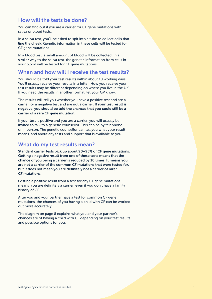#### <span id="page-7-0"></span>How will the tests be done?

You can find out if you are a carrier for CF gene mutations with saliva or blood tests.

In a saliva test, you'll be asked to spit into a tube to collect cells that line the cheek. Genetic information in these cells will be tested for CF gene mutations.

In a blood test, a small amount of blood will be collected. In a similar way to the saliva test, the genetic information from cells in your blood will be tested for CF gene mutations.

#### When and how will I receive the test results?

You should be told your test results within about 10 working days. You'll usually receive your results in a letter. How you receive your test results may be different depending on where you live in the UK. If you need the results in another format, let your GP know.

The results will tell you whether you have a positive test and are a carrier, or a negative test and are not a carrier. If your test result is negative, you should be told the chances that you could still be a carrier of a rare CF gene mutation.

If your test is positive and you are a carrier, you will usually be invited to talk to a genetic counsellor. This can be by telephone or in person. The genetic counsellor can tell you what your result means, and about any tests and support that is available to you.

#### What do my test results mean?

Standard carrier tests pick up about 90–95% of CF gene mutations. Getting a negative result from one of these tests means that the chance of you being a carrier is reduced by 10 times. It means you are not a carrier of the common CF mutations that were tested for, but it does not mean you are definitely not a carrier of rarer CF mutations.

Getting a positive result from a test for any CF gene mutations means you are definitely a carrier, even if you don't have a family history of CF.

After you and your partner have a test for common CF gene mutations, the chances of you having a child with CF can be worked out more accurately.

The diagram on page 8 explains what you and your partner's chances are of having a child with CF depending on your test results and possible options for you.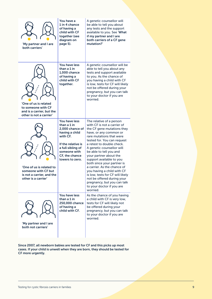| 'My partner and I are<br>both carriers'                                                             | You have a<br>1 in 4 chance<br>of having a<br>child with CF<br>together (see<br>diagram on<br>page 5).                                                                        | A genetic counsellor will<br>be able to tell you about<br>any tests and the support<br>available to you. See 'What<br>if my partner and I are<br>both carriers of a CF gene<br>mutation?'                                                                                                                                                                                                                                                                                                                                                                  |
|-----------------------------------------------------------------------------------------------------|-------------------------------------------------------------------------------------------------------------------------------------------------------------------------------|------------------------------------------------------------------------------------------------------------------------------------------------------------------------------------------------------------------------------------------------------------------------------------------------------------------------------------------------------------------------------------------------------------------------------------------------------------------------------------------------------------------------------------------------------------|
| 'One of us is related<br>to someone with CF<br>and is a carrier, but the<br>other is not a carrier' | You have less<br>than a 1 in<br>1.000 chance<br>of having a<br>child with CF<br>together.                                                                                     | A genetic counsellor will be<br>able to tell you about any<br>tests and support available<br>to you. As the chance of<br>you having a child with CF<br>is low, tests for CF will likely<br>not be offered during your<br>pregnancy, but you can talk<br>to your doctor if you are<br>worried.                                                                                                                                                                                                                                                              |
| 'One of us is related to<br>someone with CF but<br>is not a carrier, and the<br>other is a carrier' | You have less<br>than a 1 in<br>2,000 chance of<br>having a child<br>with CF.<br>If the relative is<br>a full sibling of<br>someone with<br>CF, the chance<br>lowers to zero. | The relative of a person<br>with CF is not a carrier of<br>the CF gene mutations they<br>have, or any common or<br>rare mutations that were<br>tested for. You can request<br>a retest to double check.<br>A genetic counsellor will<br>be able to tell you and<br>your partner about the<br>support available to you<br>both since your partner is<br>a carrier. As the chance of<br>you having a child with CF<br>is low, tests for CF will likely<br>not be offered during your<br>pregnancy, but you can talk<br>to your doctor if you are<br>worried. |
| 'My partner and I are<br>both not carriers'                                                         | You have less<br>than a 1 in<br>250,000 chance<br>of having a<br>child with CF.                                                                                               | As the chance of you having<br>a child with CF is very low,<br>tests for CF will likely not<br>be offered during your<br>pregnancy, but you can talk<br>to your doctor if you are<br>worried.                                                                                                                                                                                                                                                                                                                                                              |

Since 2007, all newborn babies are tested for CF and this picks up most cases. If your child is unwell when they are born, they should be tested for CF more urgently.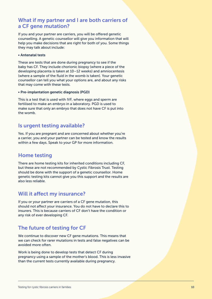### <span id="page-9-0"></span>What if my partner and I are both carriers of a CF gene mutation?

If you and your partner are carriers, you will be offered genetic counselling. A genetic counsellor will give you information that will help you make decisions that are right for both of you. Some things they may talk about include:

#### • Antenatal tests

These are tests that are done during pregnancy to see if the baby has CF. They include chorionic biopsy (where a piece of the developing placenta is taken at 10–12 weeks) and amniocentesis (where a sample of the fluid in the womb is taken). Your genetic counsellor can tell you what your options are, and about any risks that may come with these tests.

#### • Pre-implantation genetic diagnosis (PGD)

This is a test that is used with IVF, where eggs and sperm are fertilised to make an embryo in a laboratory. PGD is used to make sure that only an embryo that does not have CF is put into the womb.

#### Is urgent testing available?

Yes. If you are pregnant and are concerned about whether you're a carrier, you and your partner can be tested and know the results within a few days. Speak to your GP for more information.

#### Home testing

There are home testing kits for inherited conditions including CF, but these are not recommended by Cystic Fibrosis Trust. Testing should be done with the support of a genetic counsellor. Home genetic testing kits cannot give you this support and the results are also less reliable.

#### Will it affect my insurance?

If you or your partner are carriers of a CF gene mutation, this should not affect your insurance. You do not have to declare this to insurers. This is because carriers of CF don't have the condition or any risk of ever developing CF.

## The future of testing for CF

We continue to discover new CF gene mutations. This means that we can check for rarer mutations in tests and false negatives can be avoided more often.

Work is being done to develop tests that detect CF during pregnancy using a sample of the mother's blood. This is less invasive than the current tests currently available during pregnancy.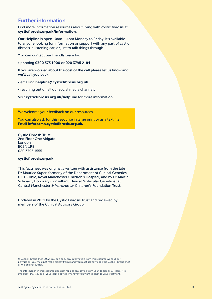### <span id="page-10-0"></span>Further information

Find more information resources about living with cystic fibrosis at cysticfibrosis.org.uk/information.

Our Helpline is open 10am – 4pm Monday to Friday. It's available to anyone looking for information or support with any part of cystic fibrosis, a listening ear, or just to talk things through.

You can contact our friendly team by:

• phoning 0300 373 1000 or 020 3795 2184

If you are worried about the cost of the call please let us know and we'll call you back.

- emailing helpline@cysticfibrosis.org.uk
- reaching out on all our social media channels

Visit cysticfibrosis.org.uk/helpline for more information.

We welcome your feedback on our resources.

You can also ask for this resource in large print or as a text file. Email infoteam@cysticfibrosis.org.uk.

Cystic Fibrosis Trust 2nd Floor One Aldgate London EC3N 1RE 020 3795 1555

#### cysticfibrosis.org.uk

This factsheet was originally written with assistance from the late Dr Maurice Super, formerly of the Department of Clinical Genetics & CF Clinic, Royal Manchester Children's Hospital, and by Dr Martin Schwarz, Honorary Consultant Clinical Molecular Geneticist at Central Manchester & Manchester Children's Foundation Trust.

Updated in 2021 by the Cystic Fibrosis Trust and reviewed by members of the Clinical Advisory Group.

© Cystic Fibrosis Trust 2022. You can copy any information from this resource without our permission. You must not make money from it and you must acknowledge the Cystic Fibrosis Trust as the original author.

The information in this resource does not replace any advice from your doctor or CF team. It is important that you seek your team's advice whenever you want to change your treatment.